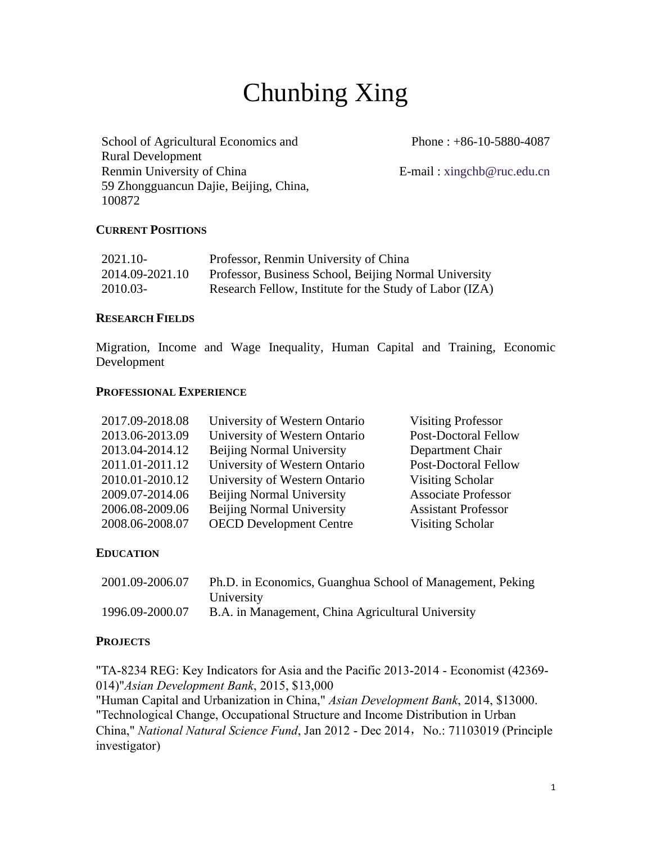# Chunbing Xing

School of Agricultural Economics and Rural Development Renmin University of China E-mail : xingchb@ruc.edu.cn 59 Zhongguancun Dajie, Beijing, China, 100872

Phone : +86-10-5880-4087

## **CURRENT POSITIONS**

| 2021.10-        | Professor, Renmin University of China                   |
|-----------------|---------------------------------------------------------|
| 2014.09-2021.10 | Professor, Business School, Beijing Normal University   |
| 2010.03-        | Research Fellow, Institute for the Study of Labor (IZA) |

## **RESEARCH FIELDS**

Migration, Income and Wage Inequality, Human Capital and Training, Economic Development

#### **PROFESSIONAL EXPERIENCE**

| University of Western Ontario    | <b>Visiting Professor</b>     |
|----------------------------------|-------------------------------|
| University of Western Ontario    | <b>Post-Doctoral Fellow</b>   |
| <b>Beijing Normal University</b> | Department Chair              |
| University of Western Ontario    | <b>Post-Doctoral Fellow</b>   |
|                                  | Visiting Scholar              |
| <b>Beijing Normal University</b> | <b>Associate Professor</b>    |
| <b>Beijing Normal University</b> | <b>Assistant Professor</b>    |
| <b>OECD</b> Development Centre   | <b>Visiting Scholar</b>       |
|                                  | University of Western Ontario |

## **EDUCATION**

| 2001.09-2006.07 | Ph.D. in Economics, Guanghua School of Management, Peking |
|-----------------|-----------------------------------------------------------|
|                 | University                                                |
| 1996.09-2000.07 | B.A. in Management, China Agricultural University         |

#### **PROJECTS**

"TA-8234 REG: Key Indicators for Asia and the Pacific 2013-2014 - Economist (42369- 014)"*Asian Development Bank*, 2015, \$13,000 "Human Capital and Urbanization in China," *Asian Development Bank*, 2014, \$13000. "Technological Change, Occupational Structure and Income Distribution in Urban China," *National Natural Science Fund*, Jan 2012 - Dec 2014, No.: 71103019 (Principle investigator)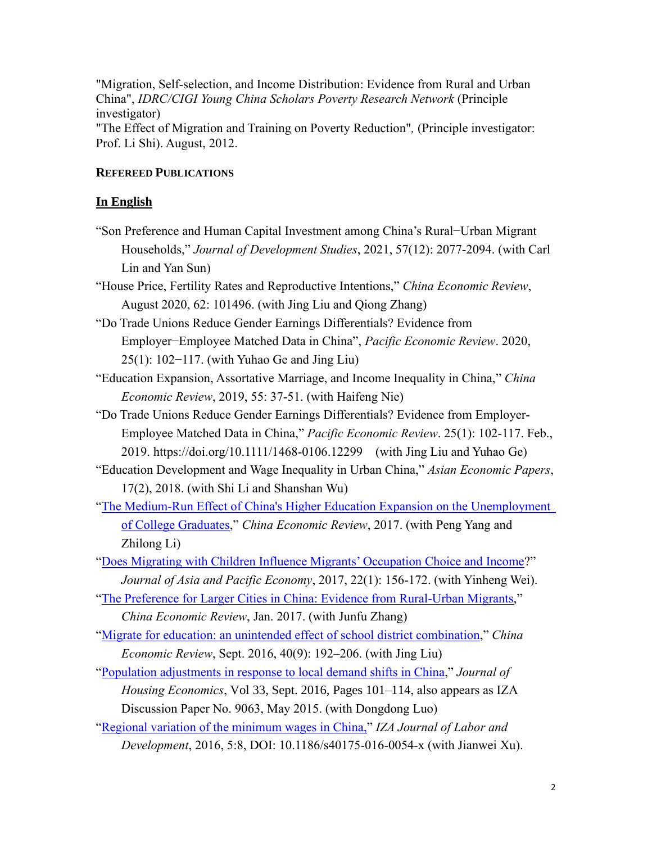"Migration, Self-selection, and Income Distribution: Evidence from Rural and Urban China", *IDRC/CIGI Young China Scholars Poverty Research Network* (Principle investigator)

"The Effect of Migration and Training on Poverty Reduction"*,* (Principle investigator: Prof. Li Shi). August, 2012.

# **REFEREED PUBLICATIONS**

# **In English**

"Son Preference and Human Capital Investment among China's Rural−Urban Migrant Households," *Journal of Development Studies*, 2021, 57(12): 2077-2094. (with Carl Lin and Yan Sun)

"House Price, Fertility Rates and Reproductive Intentions," *China Economic Review*, August 2020, 62: 101496. (with Jing Liu and Qiong Zhang)

"Do Trade Unions Reduce Gender Earnings Differentials? Evidence from Employer−Employee Matched Data in China", *Pacific Economic Review*. 2020, 25(1): 102−117. (with Yuhao Ge and Jing Liu)

"Education Expansion, Assortative Marriage, and Income Inequality in China," *China Economic Review*, 2019, 55: 37-51. (with Haifeng Nie)

"Do Trade Unions Reduce Gender Earnings Differentials? Evidence from Employer-Employee Matched Data in China," *Pacific Economic Review*. 25(1): 102-117. Feb., 2019. https://doi.org/10.1111/1468-0106.12299 (with Jing Liu and Yuhao Ge)

"Education Development and Wage Inequality in Urban China," *Asian Economic Papers*, 17(2), 2018. (with Shi Li and Shanshan Wu)

["The Medium-Run Effect of China's Higher Education Expansion on the Unemployment](http://www.sciencedirect.com/science/article/pii/S1043951X1730069X)  [of College Graduates,](http://www.sciencedirect.com/science/article/pii/S1043951X1730069X)" *China Economic Review*, 2017. (with Peng Yang and Zhilong Li)

["Does Migrating with Children Influence Migrants' Occupation Choice and Income?](http://www.tandfonline.com/doi/pdf/10.1080/13547860.2016.1261486?needAccess=true)" *Journal of Asia and Pacific Economy*, 2017, 22(1): 156-172. (with Yinheng Wei).

["The Preference for Larger Cities in China: Evidence from Rural-Urban Migrants,](http://www.sciencedirect.com/science/article/pii/S1043951X17300056)" *China Economic Review*, Jan. 2017. (with Junfu Zhang)

["Migrate for education: an unintended effect of school district combination,](http://www.sciencedirect.com/science/article/pii/S1043951X16300748)" *China Economic Review*, Sept. 2016, 40(9): 192–206. (with Jing Liu)

["Population adjustments in response to local demand shifts in China,](http://www.sciencedirect.com/science/article/pii/S1051137716300808)" *Journal of* 

*Housing Economics*, Vol 33, Sept. 2016, Pages 101–114, also appears as IZA Discussion Paper No. 9063, May 2015. (with Dongdong Luo)

["Regional variation of the minimum wages in China,"](http://izajold.springeropen.com/articles/10.1186/s40175-016-0054-x#5254) *IZA Journal of Labor and Development*, 2016, 5:8, DOI: 10.1186/s40175-016-0054-x (with Jianwei Xu).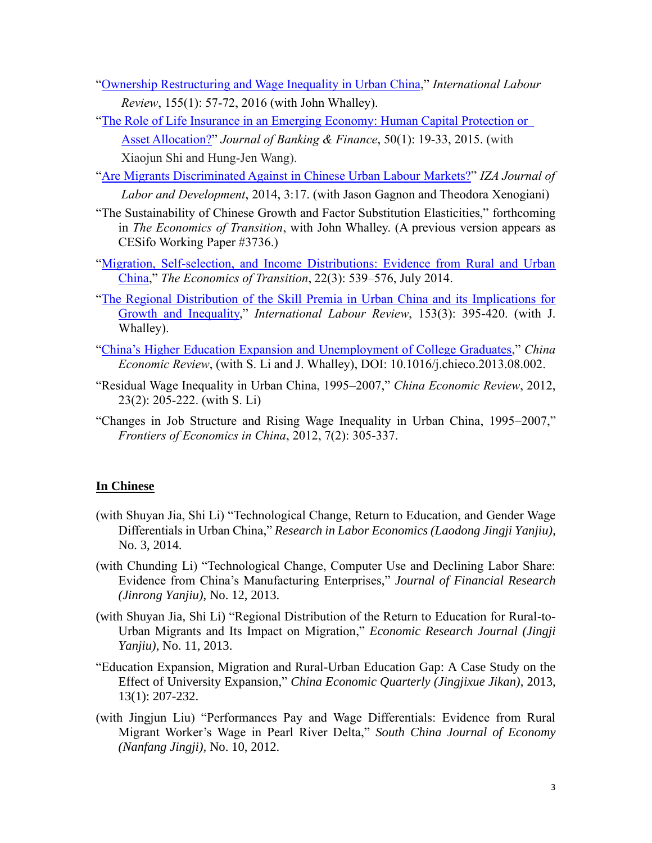- ["Ownership Restructuring and Wage Inequality in Urban China,](http://onlinelibrary.wiley.com/doi/10.1111/ilr.12005/abstract)" *International Labour Review*, 155(1): 57-72, 2016 (with John Whalley).
- ["The Role of Life Insurance in an Emerging Economy: Human Capital Protection](http://ac.els-cdn.com/S0378426614003239/1-s2.0-S0378426614003239-main.pdf?_tid=99c4c68e-6484-11e4-ac6d-00000aacb35d&acdnat=1415148320_c147f0493323c6a928b011c75f4bd59e) or [Asset Allocation?"](http://ac.els-cdn.com/S0378426614003239/1-s2.0-S0378426614003239-main.pdf?_tid=99c4c68e-6484-11e4-ac6d-00000aacb35d&acdnat=1415148320_c147f0493323c6a928b011c75f4bd59e) *Journal of Banking & Finance*, 50(1): 19-33, 2015. (with Xiaojun Shi and Hung-Jen Wang).
- ["Are Migrants Discriminated Against in Chinese Urban Labour Markets?"](http://www.izajold.com/content/pdf/2193-9020-3-17.pdf) *IZA Journal of Labor and Development*, 2014, 3:17. (with Jason Gagnon and Theodora Xenogiani)
- "The Sustainability of Chinese Growth and Factor Substitution Elasticities," forthcoming in *The Economics of Transition*, with John Whalley. (A previous version appears as CESifo Working Paper #3736.)
- ["Migration, Self-selection, and Income Distributions: Evidence from Rural and Urban](http://onlinelibrary.wiley.com/doi/10.1111/ecot.12041/abstract)  [China,](http://onlinelibrary.wiley.com/doi/10.1111/ecot.12041/abstract)" *The Economics of Transition*, 22(3): 539–576, July 2014.
- ["The Regional Distribution of the Skill Premia in Urban China and its Implications for](http://onlinelibrary.wiley.com/doi/10.1111/j.1564-913X.2013.00009.x/citedby)  [Growth and Inequality,](http://onlinelibrary.wiley.com/doi/10.1111/j.1564-913X.2013.00009.x/citedby)" *International Labour Review*, 153(3): 395-420. (with J. Whalley).
- ["China's Higher Education Expansion and Unemployment of College Graduates,](http://www.sciencedirect.com/science/article/pii/S1043951X13000710)" *China Economic Review*, (with S. Li and J. Whalley), DOI: 10.1016/j.chieco.2013.08.002.
- "Residual Wage Inequality in Urban China, 1995–2007," *China Economic Review*, 2012, 23(2): 205-222. (with S. Li)
- "Changes in Job Structure and Rising Wage Inequality in Urban China, 1995–2007," *Frontiers of Economics in China*, 2012, 7(2): 305-337.

# **In Chinese**

- (with Shuyan Jia, Shi Li) "Technological Change, Return to Education, and Gender Wage Differentials in Urban China," *Research in Labor Economics (Laodong Jingji Yanjiu)*, No. 3, 2014.
- (with Chunding Li) "Technological Change, Computer Use and Declining Labor Share: Evidence from China's Manufacturing Enterprises," *Journal of Financial Research (Jinrong Yanjiu)*, No. 12, 2013.
- (with Shuyan Jia, Shi Li) "Regional Distribution of the Return to Education for Rural-to-Urban Migrants and Its Impact on Migration," *Economic Research Journal (Jingji Yanjiu)*, No. 11, 2013.
- "Education Expansion, Migration and Rural-Urban Education Gap: A Case Study on the Effect of University Expansion," *China Economic Quarterly (Jingjixue Jikan)*, 2013, 13(1): 207-232.
- (with Jingjun Liu) "Performances Pay and Wage Differentials: Evidence from Rural Migrant Worker's Wage in Pearl River Delta," *South China Journal of Economy (Nanfang Jingji),* No. 10, 2012.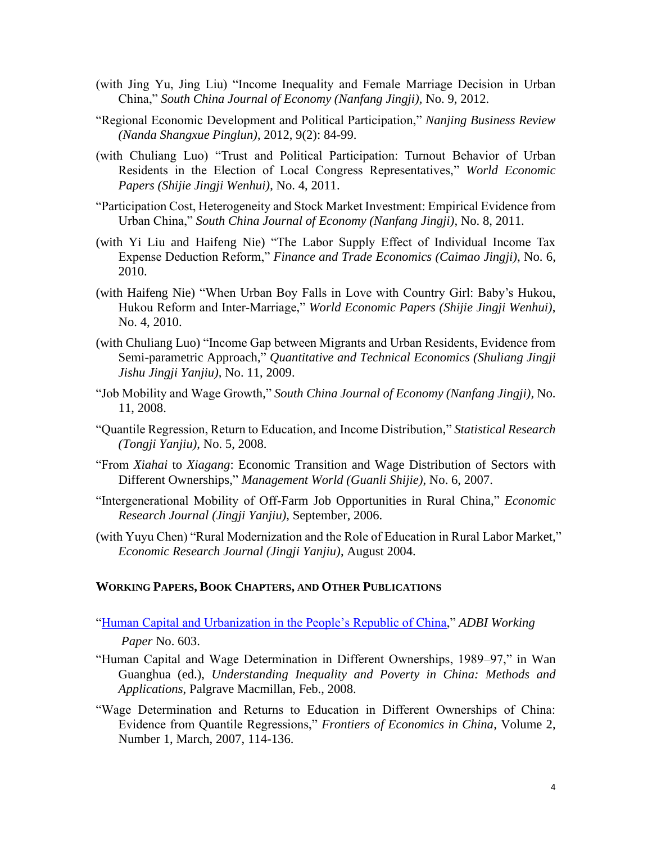- (with Jing Yu, Jing Liu) "Income Inequality and Female Marriage Decision in Urban China," *South China Journal of Economy (Nanfang Jingji),* No. 9, 2012.
- "Regional Economic Development and Political Participation," *Nanjing Business Review (Nanda Shangxue Pinglun)*, 2012, 9(2): 84-99.
- (with Chuliang Luo) "Trust and Political Participation: Turnout Behavior of Urban Residents in the Election of Local Congress Representatives," *World Economic Papers (Shijie Jingji Wenhui)*, No. 4, 2011.
- "Participation Cost, Heterogeneity and Stock Market Investment: Empirical Evidence from Urban China," *South China Journal of Economy (Nanfang Jingji)*, No. 8, 2011.
- (with Yi Liu and Haifeng Nie) "The Labor Supply Effect of Individual Income Tax Expense Deduction Reform," *Finance and Trade Economics (Caimao Jingji)*, No. 6, 2010.
- (with Haifeng Nie) "When Urban Boy Falls in Love with Country Girl: Baby's Hukou, Hukou Reform and Inter-Marriage," *World Economic Papers (Shijie Jingji Wenhui)*, No. 4, 2010.
- (with Chuliang Luo) "Income Gap between Migrants and Urban Residents, Evidence from Semi-parametric Approach," *Quantitative and Technical Economics (Shuliang Jingji Jishu Jingji Yanjiu),* No. 11, 2009.
- "Job Mobility and Wage Growth," *South China Journal of Economy (Nanfang Jingji),* No. 11, 2008.
- "Quantile Regression, Return to Education, and Income Distribution," *Statistical Research (Tongji Yanjiu)*, No. 5, 2008.
- "From *Xiahai* to *Xiagang*: Economic Transition and Wage Distribution of Sectors with Different Ownerships," *Management World (Guanli Shijie)*, No. 6, 2007.
- "Intergenerational Mobility of Off-Farm Job Opportunities in Rural China," *Economic Research Journal (Jingji Yanjiu)*, September, 2006.
- (with Yuyu Chen) "Rural Modernization and the Role of Education in Rural Labor Market," *Economic Research Journal (Jingji Yanjiu)*, August 2004.

#### **WORKING PAPERS, BOOK CHAPTERS, AND OTHER PUBLICATIONS**

["Human Capital and Urbanization in the People's Republic of China,](https://www.adb.org/sites/default/files/publication/201971/adbi-wp603.pdf)" *ADBI Working Paper* No. 603.

- "Human Capital and Wage Determination in Different Ownerships, 1989–97," in Wan Guanghua (ed.), *Understanding Inequality and Poverty in China: Methods and Applications*, Palgrave Macmillan, Feb., 2008.
- "Wage Determination and Returns to Education in Different Ownerships of China: Evidence from Quantile Regressions," *Frontiers of Economics in China*, Volume 2, Number 1, March, 2007, 114-136.